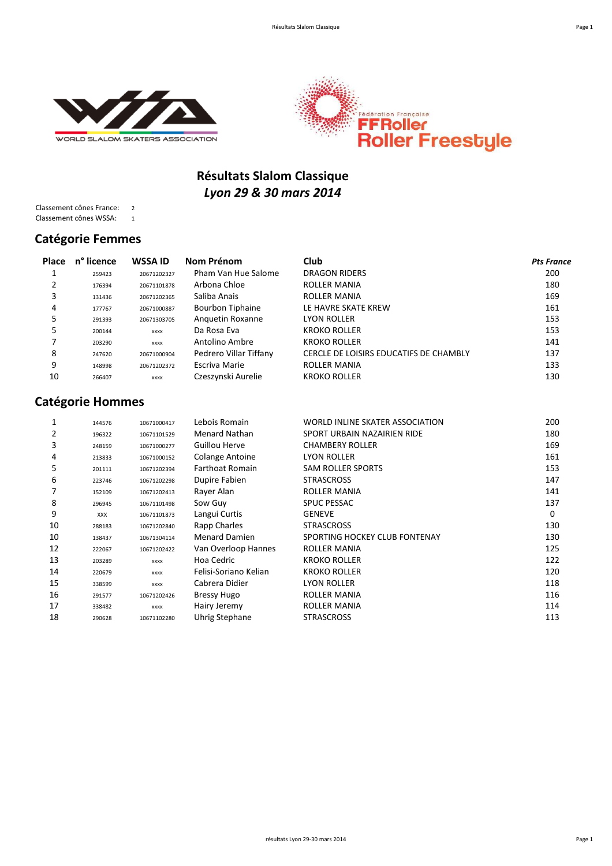



## **Résultats Slalom Classique** *Lyon 29 & 30 mars 2014*

Classement cônes France: 2 Classement cônes WSSA: 1

#### **Catégorie Femmes**

| Place | n° licence | <b>WSSA ID</b> | Nom Prénom             | Club                                   | <b>Pts France</b> |
|-------|------------|----------------|------------------------|----------------------------------------|-------------------|
|       | 259423     | 20671202327    | Pham Van Hue Salome    | <b>DRAGON RIDERS</b>                   | 200               |
|       | 176394     | 20671101878    | Arbona Chloe           | ROLLER MANIA                           | 180               |
| 3     | 131436     | 20671202365    | Saliba Anais           | ROLLER MANIA                           | 169               |
| 4     | 177767     | 20671000887    | Bourbon Tiphaine       | LE HAVRE SKATE KREW                    | 161               |
| 5.    | 291393     | 20671303705    | Anguetin Roxanne       | <b>LYON ROLLER</b>                     | 153               |
| 5     | 200144     | <b>XXXX</b>    | Da Rosa Eva            | <b>KROKO ROLLER</b>                    | 153               |
|       | 203290     | <b>XXXX</b>    | Antolino Ambre         | <b>KROKO ROLLER</b>                    | 141               |
| 8     | 247620     | 20671000904    | Pedrero Villar Tiffany | CERCLE DE LOISIRS EDUCATIFS DE CHAMBLY | 137               |
| 9     | 148998     | 20671202372    | Escriva Marie          | ROLLER MANIA                           | 133               |
| 10    | 266407     | <b>XXXX</b>    | Czeszynski Aurelie     | <b>KROKO ROLLER</b>                    | 130               |

### **Catégorie Hommes**

| 1  | 144576     | 10671000417 | Lebois Romain          | WORLD INLINE SKATER ASSOCIATION | 200      |
|----|------------|-------------|------------------------|---------------------------------|----------|
| 2  | 196322     | 10671101529 | Menard Nathan          | SPORT URBAIN NAZAIRIEN RIDE     | 180      |
| 3  | 248159     | 10671000277 | Guillou Herve          | <b>CHAMBERY ROLLER</b>          | 169      |
| 4  | 213833     | 10671000152 | <b>Colange Antoine</b> | <b>LYON ROLLER</b>              | 161      |
| 5  | 201111     | 10671202394 | <b>Farthoat Romain</b> | <b>SAM ROLLER SPORTS</b>        | 153      |
| 6  | 223746     | 10671202298 | Dupire Fabien          | <b>STRASCROSS</b>               | 147      |
|    | 152109     | 10671202413 | Rayer Alan             | ROLLER MANIA                    | 141      |
| 8  | 296945     | 10671101498 | Sow Guy                | <b>SPUC PESSAC</b>              | 137      |
| 9  | <b>XXX</b> | 10671101873 | Langui Curtis          | <b>GENEVE</b>                   | $\Omega$ |
| 10 | 288183     | 10671202840 | Rapp Charles           | <b>STRASCROSS</b>               | 130      |
| 10 | 138437     | 10671304114 | <b>Menard Damien</b>   | SPORTING HOCKEY CLUB FONTENAY   | 130      |
| 12 | 222067     | 10671202422 | Van Overloop Hannes    | ROLLER MANIA                    | 125      |
| 13 | 203289     | <b>XXXX</b> | Hoa Cedric             | <b>KROKO ROLLER</b>             | 122      |
| 14 | 220679     | <b>XXXX</b> | Felisi-Soriano Kelian  | <b>KROKO ROLLER</b>             | 120      |
| 15 | 338599     | <b>XXXX</b> | Cabrera Didier         | <b>LYON ROLLER</b>              | 118      |
| 16 | 291577     | 10671202426 | <b>Bressy Hugo</b>     | <b>ROLLER MANIA</b>             | 116      |
| 17 | 338482     | <b>XXXX</b> | Hairy Jeremy           | <b>ROLLER MANIA</b>             | 114      |
| 18 | 290628     | 10671102280 | Uhrig Stephane         | <b>STRASCROSS</b>               | 113      |
|    |            |             |                        |                                 |          |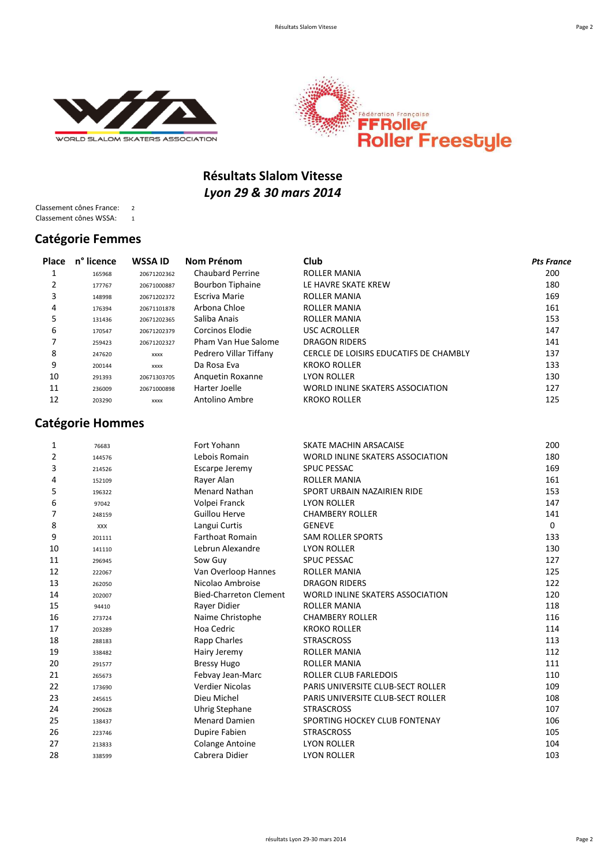



## **Résultats Slalom Vitesse** *Lyon 29 & 30 mars 2014*

Classement cônes France: 2 Classement cônes WSSA: 1

#### **Catégorie Femmes**

| Place | n <sup>o</sup> licence | <b>WSSA ID</b> | Nom Prénom              | Club                                   | <b>Pts France</b> |
|-------|------------------------|----------------|-------------------------|----------------------------------------|-------------------|
|       | 165968                 | 20671202362    | <b>Chaubard Perrine</b> | <b>ROLLER MANIA</b>                    | 200               |
|       | 177767                 | 20671000887    | <b>Bourbon Tiphaine</b> | LE HAVRE SKATE KREW                    | 180               |
| 3     | 148998                 | 20671202372    | Escriva Marie           | <b>ROLLER MANIA</b>                    | 169               |
| 4     | 176394                 | 20671101878    | Arbona Chloe            | <b>ROLLER MANIA</b>                    | 161               |
| 5     | 131436                 | 20671202365    | Saliba Anais            | <b>ROLLER MANIA</b>                    | 153               |
| 6     | 170547                 | 20671202379    | Corcinos Elodie         | <b>USC ACROLLER</b>                    | 147               |
|       | 259423                 | 20671202327    | Pham Van Hue Salome     | DRAGON RIDERS                          | 141               |
| 8     | 247620                 | <b>XXXX</b>    | Pedrero Villar Tiffany  | CERCLE DE LOISIRS EDUCATIFS DE CHAMBLY | 137               |
| 9     | 200144                 | <b>XXXX</b>    | Da Rosa Eva             | <b>KROKO ROLLER</b>                    | 133               |
| 10    | 291393                 | 20671303705    | Anguetin Roxanne        | <b>LYON ROLLER</b>                     | 130               |
| 11    | 236009                 | 20671000898    | Harter Joelle           | WORLD INLINE SKATERS ASSOCIATION       | 127               |
| 12    | 203290                 | <b>XXXX</b>    | Antolino Ambre          | <b>KROKO ROLLER</b>                    | 125               |

### **Catégorie Hommes**

| 1  | 76683  | Fort Yohann                   | SKATE MACHIN ARSACAISE                  | 200      |
|----|--------|-------------------------------|-----------------------------------------|----------|
| 2  | 144576 | Lebois Romain                 | <b>WORLD INLINE SKATERS ASSOCIATION</b> | 180      |
| 3  | 214526 | Escarpe Jeremy                | <b>SPUC PESSAC</b>                      | 169      |
| 4  | 152109 | Rayer Alan                    | <b>ROLLER MANIA</b>                     | 161      |
| 5  | 196322 | <b>Menard Nathan</b>          | SPORT URBAIN NAZAIRIEN RIDE             | 153      |
| 6  | 97042  | Volpei Franck                 | <b>LYON ROLLER</b>                      | 147      |
| 7  | 248159 | Guillou Herve                 | <b>CHAMBERY ROLLER</b>                  | 141      |
| 8  | XXX    | Langui Curtis                 | <b>GENEVE</b>                           | $\Omega$ |
| 9  | 201111 | <b>Farthoat Romain</b>        | <b>SAM ROLLER SPORTS</b>                | 133      |
| 10 | 141110 | Lebrun Alexandre              | <b>LYON ROLLER</b>                      | 130      |
| 11 | 296945 | Sow Guy                       | <b>SPUC PESSAC</b>                      | 127      |
| 12 | 222067 | Van Overloop Hannes           | <b>ROLLER MANIA</b>                     | 125      |
| 13 | 262050 | Nicolao Ambroise              | <b>DRAGON RIDERS</b>                    | 122      |
| 14 | 202007 | <b>Bied-Charreton Clement</b> | WORLD INLINE SKATERS ASSOCIATION        | 120      |
| 15 | 94410  | Rayer Didier                  | <b>ROLLER MANIA</b>                     | 118      |
| 16 | 273724 | Naime Christophe              | <b>CHAMBERY ROLLER</b>                  | 116      |
| 17 | 203289 | Hoa Cedric                    | <b>KROKO ROLLER</b>                     | 114      |
| 18 | 288183 | Rapp Charles                  | <b>STRASCROSS</b>                       | 113      |
| 19 | 338482 | Hairy Jeremy                  | <b>ROLLER MANIA</b>                     | 112      |
| 20 | 291577 | <b>Bressy Hugo</b>            | <b>ROLLER MANIA</b>                     | 111      |
| 21 | 265673 | Febvay Jean-Marc              | ROLLER CLUB FARLEDOIS                   | 110      |
| 22 | 173690 | <b>Verdier Nicolas</b>        | PARIS UNIVERSITE CLUB-SECT ROLLER       | 109      |
| 23 | 245615 | Dieu Michel                   | PARIS UNIVERSITE CLUB-SECT ROLLER       | 108      |
| 24 | 290628 | Uhrig Stephane                | <b>STRASCROSS</b>                       | 107      |
| 25 | 138437 | <b>Menard Damien</b>          | SPORTING HOCKEY CLUB FONTENAY           | 106      |
| 26 | 223746 | Dupire Fabien                 | <b>STRASCROSS</b>                       | 105      |
| 27 | 213833 | <b>Colange Antoine</b>        | <b>LYON ROLLER</b>                      | 104      |
| 28 | 338599 | Cabrera Didier                | <b>LYON ROLLER</b>                      | 103      |